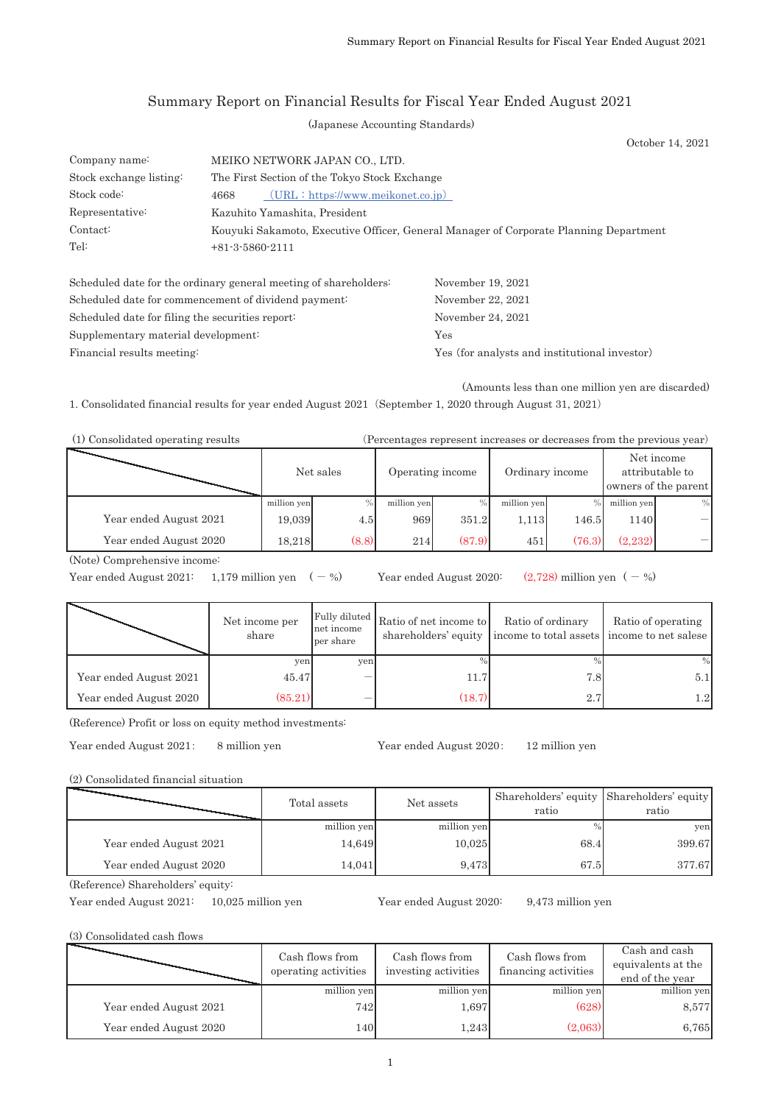## Summary Report on Financial Results for Fiscal Year Ended August 2021

(Japanese Accounting Standards)

October 14, 2021

| Company name:           | MEIKO NETWORK JAPAN CO., LTD.                                                         |  |  |  |  |  |
|-------------------------|---------------------------------------------------------------------------------------|--|--|--|--|--|
| Stock exchange listing: | The First Section of the Tokyo Stock Exchange                                         |  |  |  |  |  |
| Stock code:             | $(URL: \hbar tps)/www. \hbar eikonet.co. \text{ip})$<br>4668                          |  |  |  |  |  |
| Representative:         | Kazuhito Yamashita, President                                                         |  |  |  |  |  |
| Contact:                | Kouyuki Sakamoto, Executive Officer, General Manager of Corporate Planning Department |  |  |  |  |  |
| Tel:                    | $+81-3-5860-2111$                                                                     |  |  |  |  |  |

| Scheduled date for the ordinary general meeting of shareholders: | November 19, 2021                             |
|------------------------------------------------------------------|-----------------------------------------------|
| Scheduled date for commencement of dividend payment:             | November 22, 2021                             |
| Scheduled date for filing the securities report:                 | November 24, 2021                             |
| Supplementary material development:                              | Yes                                           |
| Financial results meeting:                                       | Yes (for analysts and institutional investor) |

(Amounts less than one million yen are discarded)

1. Consolidated financial results for year ended August 2021 (September 1, 2020 through August 31, 2021)

| (1) Consolidated operating results | (Percentages represent increases or decreases from the previous year) |
|------------------------------------|-----------------------------------------------------------------------|
|------------------------------------|-----------------------------------------------------------------------|

|                        | Net sales   |       | Operating income |        | Ordinary income |        | Net income<br>attributable to<br>owners of the parent |      |
|------------------------|-------------|-------|------------------|--------|-----------------|--------|-------------------------------------------------------|------|
|                        | million yen |       | million yen      |        | million yen     |        | million yen                                           | $\%$ |
| Year ended August 2021 | 19,039      | 4.5   | 969              | 351.2  | 1,113           | 146.5  | 1140                                                  |      |
| Year ended August 2020 | 18.218      | (8.8) | 214              | (87.9) | 451             | (76.3) | (2.232)                                               |      |

(Note) Comprehensive income:

Year ended August 2021:  $1,179$  million yen  $(-\%)$  Year ended August 2020:  $(2,728)$  million yen  $(-\%)$ 

|                        | Net income per<br>share | net income<br>per share | Fully diluted Ratio of net income to | Ratio of ordinary<br>shareholders' equity income to total assets income to net salese | Ratio of operating |
|------------------------|-------------------------|-------------------------|--------------------------------------|---------------------------------------------------------------------------------------|--------------------|
|                        | ven                     | yen                     |                                      | $\frac{0}{0}$                                                                         | %                  |
| Year ended August 2021 | 45.47                   |                         | 11.7                                 | 7.8                                                                                   | 5.1                |
| Year ended August 2020 | (85.21)                 |                         | (18.7)                               | 2.7                                                                                   | $1.2\mathsf{I}$    |

(Reference) Profit or loss on equity method investments:

Year ended August 2021: 8 million yen Year ended August 2020: 12 million yen

(2) Consolidated financial situation

|                        | Total assets | Net assets  | Shareholders' equity Shareholders' equity<br>ratio | ratio  |
|------------------------|--------------|-------------|----------------------------------------------------|--------|
|                        | million yen  | million yen | $\%$                                               | ven    |
| Year ended August 2021 | 14,649       | 10.025      | 68.4                                               | 399.67 |
| Year ended August 2020 | 14,041       | 9,473       | 67.5                                               | 377.67 |

(Reference) Shareholders' equity:

Year ended August 2021: 10,025 million yen Year ended August 2020: 9,473 million yen

(3) Consolidated cash flows

|                        | Cash flows from<br>operating activities | Cash flows from<br>investing activities | Cash flows from<br>financing activities | Cash and cash<br>equivalents at the<br>end of the year |
|------------------------|-----------------------------------------|-----------------------------------------|-----------------------------------------|--------------------------------------------------------|
|                        | million yen                             | million yen                             | million yen                             | million yen                                            |
| Year ended August 2021 | 742                                     | 1,697                                   | (628)                                   | 8,577                                                  |
| Year ended August 2020 | 140                                     | 1,243                                   | (2,063)                                 | 6,765                                                  |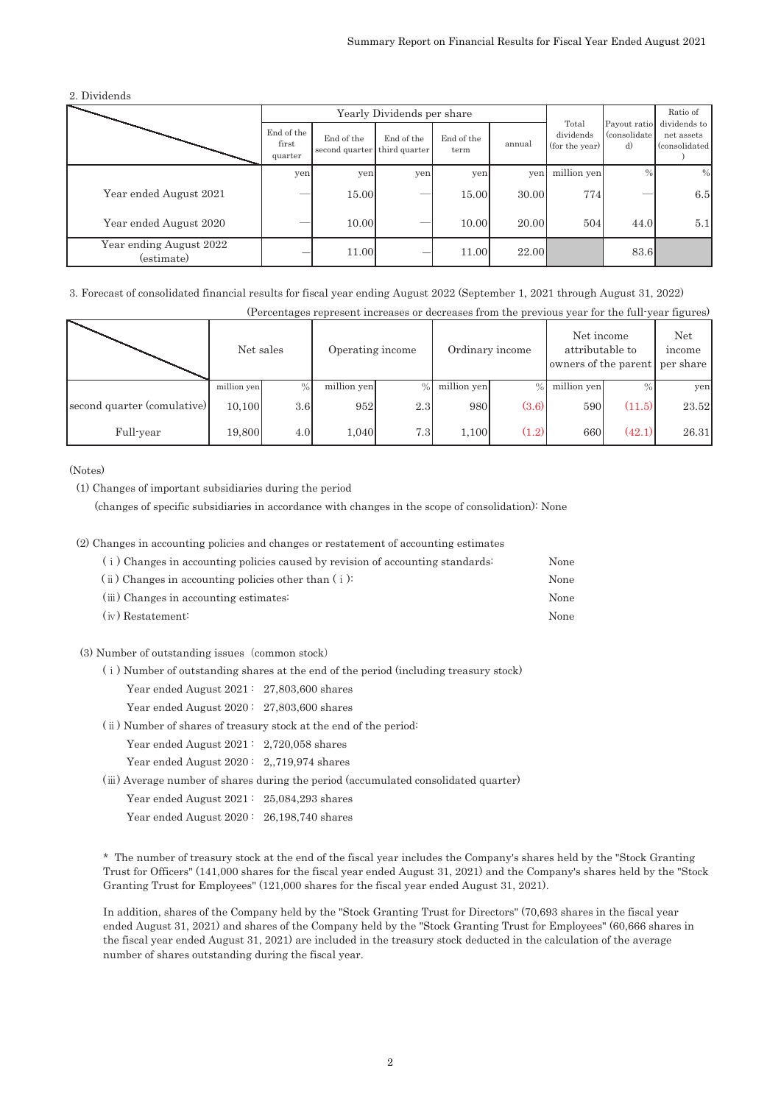2. Dividends

|                                       |                                |                                            | Yearly Dividends per share |                    |        | Ratio of                             |                                     |                                              |
|---------------------------------------|--------------------------------|--------------------------------------------|----------------------------|--------------------|--------|--------------------------------------|-------------------------------------|----------------------------------------------|
|                                       | End of the<br>first<br>quarter | End of the<br>second quarter third quarter | End of the                 | End of the<br>term | annual | Total<br>dividends<br>(for the year) | Payout ratio<br>(consolidate)<br>d) | dividends to<br>net assets<br>(consolidated) |
|                                       | yen                            | yen                                        | yen                        | yen                | yen    | million yen                          | $\%$                                | $\%$                                         |
| Year ended August 2021                |                                | 15.00                                      |                            | 15.00              | 30.00  | 774                                  |                                     | 6.5                                          |
| Year ended August 2020                |                                | 10.00                                      |                            | 10.00              | 20.00  | 504                                  | 44.0                                | 5.1                                          |
| Year ending August 2022<br>(estimate) |                                | 11.00                                      |                            | 11.00              | 22.00  |                                      | 83.6                                |                                              |

3. Forecast of consolidated financial results for fiscal year ending August 2022 (September 1, 2021 through August 31, 2022)

| (Percentages represent increases or decreases from the previous year for the full-year figures) |             |               |                  |                  |                 |               |                                                       |        |                                   |
|-------------------------------------------------------------------------------------------------|-------------|---------------|------------------|------------------|-----------------|---------------|-------------------------------------------------------|--------|-----------------------------------|
|                                                                                                 | Net sales   |               | Operating income |                  | Ordinary income |               | Net income<br>attributable to<br>owners of the parent |        | <b>Net</b><br>income<br>per share |
|                                                                                                 | million yen | $\frac{0}{0}$ | million yen      | $\frac{0}{0}$    | million yen     | $\frac{0}{0}$ | million yen                                           |        | yen                               |
| second quarter (comulative)                                                                     | 10.100      | 3.6           | 952              | 2.3              | 980             | (3.6)         | 590                                                   | (11.5) | 23.52                             |
| Full-year                                                                                       | 19,800      | 4.0           | 1.040            | 7.3 <sub>1</sub> | 1,100           | (1.2)         | 660                                                   | (42.1) | 26.31                             |

(Notes)

(1) Changes of important subsidiaries during the period

䚷䚷(changes of specific subsidiaries in accordance with changes in the scope of consolidation): None

#### (2) Changes in accounting policies and changes or restatement of accounting estimates

| (i) Changes in accounting policies caused by revision of accounting standards: | None |
|--------------------------------------------------------------------------------|------|
| $(i)$ Changes in accounting policies other than $(i)$ :                        | None |
| (iii) Changes in accounting estimates:                                         | None |
| $(iv)$ Restatement:                                                            | None |

#### (3) Number of outstanding issues (common stock)

- (i) Number of outstanding shares at the end of the period (including treasury stock)
	- Year ended August 2021: 27,803,600 shares
	- Year ended August 2020: 27,803,600 shares
- (ii) Number of shares of treasury stock at the end of the period:
	- Year ended August 2021 : 2,720,058 shares

Year ended August 2020: 2,,719,974 shares

(iii) Average number of shares during the period (accumulated consolidated quarter)

- Year ended August 2021 : 25,084,293 shares
- Year ended August 2020: 26,198,740 shares

\* The number of treasury stock at the end of the fiscal year includes the Company's shares held by the "Stock Granting Trust for Officers" (141,000 shares for the fiscal year ended August 31, 2021) and the Company's shares held by the "Stock Granting Trust for Employees" (121,000 shares for the fiscal year ended August 31, 2021).

In addition, shares of the Company held by the "Stock Granting Trust for Directors" (70,693 shares in the fiscal year ended August 31, 2021) and shares of the Company held by the "Stock Granting Trust for Employees" (60,666 shares in the fiscal year ended August 31, 2021) are included in the treasury stock deducted in the calculation of the average number of shares outstanding during the fiscal year.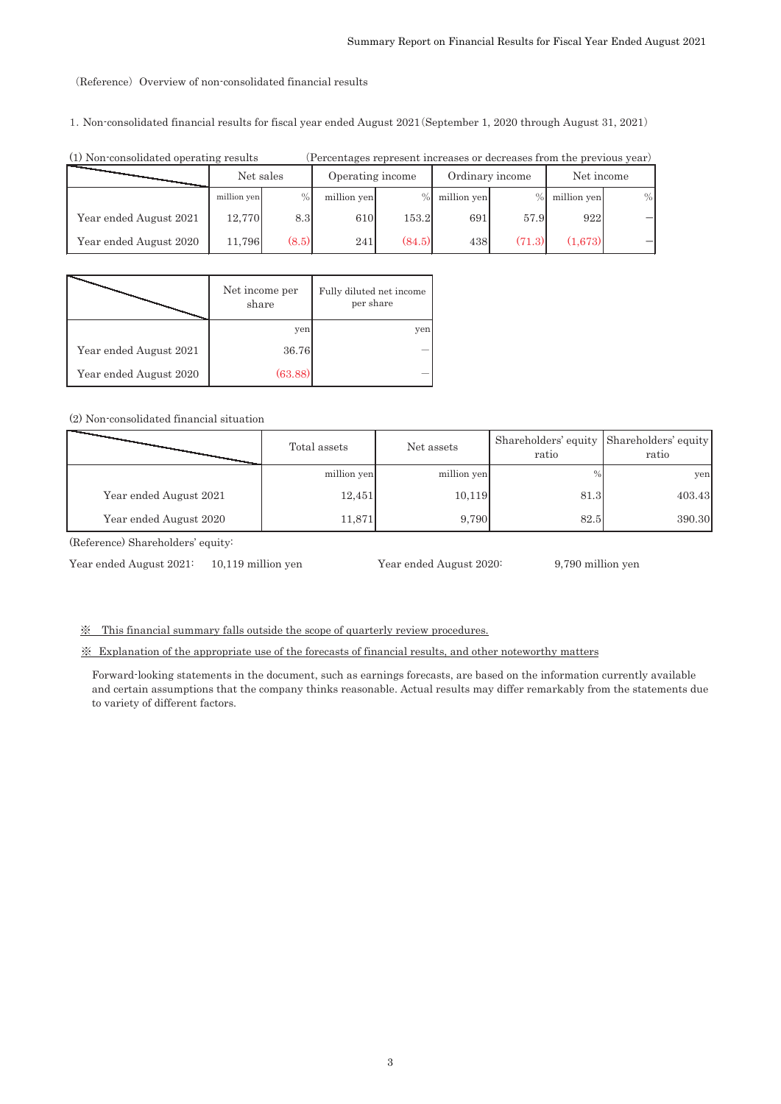#### (Reference) Overview of non-consolidated financial results

1. Non-consolidated financial results for fiscal year ended August 2021 (September 1, 2020 through August 31, 2021)

| (1) Non-consolidated operating results | (Percentages represent increases or decreases from the previous year) |               |                  |        |                 |        |             |      |
|----------------------------------------|-----------------------------------------------------------------------|---------------|------------------|--------|-----------------|--------|-------------|------|
|                                        | Net sales                                                             |               | Operating income |        | Ordinary income |        | Net income  |      |
|                                        | million yen                                                           | $\frac{0}{0}$ | million yen      | $\%$   | million yen     |        | million yen | $\%$ |
| Year ended August 2021                 | 12,770                                                                | 8.3           | 610              | 153.2  | 691             | 57.9   | 922         |      |
| Year ended August 2020                 | 11.796                                                                | (8.5)         | 241              | (84.5) | 438             | (71.3) | (1.673)     |      |

|                        | Net income per<br>share | Fully diluted net income<br>per share |
|------------------------|-------------------------|---------------------------------------|
|                        | yen                     | yen                                   |
| Year ended August 2021 | 36.76                   |                                       |
| Year ended August 2020 | (63.88)                 |                                       |

#### (2) Non-consolidated financial situation

|                        | Total assets | Net assets  | Shareholders' equity Shareholders' equity<br>ratio | ratio  |
|------------------------|--------------|-------------|----------------------------------------------------|--------|
|                        | million yen  | million yen | $\%$                                               | yen    |
| Year ended August 2021 | 12,451       | 10,119      | 81.3                                               | 403.43 |
| Year ended August 2020 | 11,871       | 9,790       | 82.5                                               | 390.30 |

(Reference) Shareholders' equity:

Year ended August 2021: 10,119 million yen Year ended August 2020: 9,790 million yen

ͤࠉThis financial summary falls outside the scope of quarterly review procedures.

䈜䚷Explanation of the appropriate use of the forecasts of financial results, and other noteworthy matters

Forward-looking statements in the document, such as earnings forecasts, are based on the information currently available and certain assumptions that the company thinks reasonable. Actual results may differ remarkably from the statements due to variety of different factors.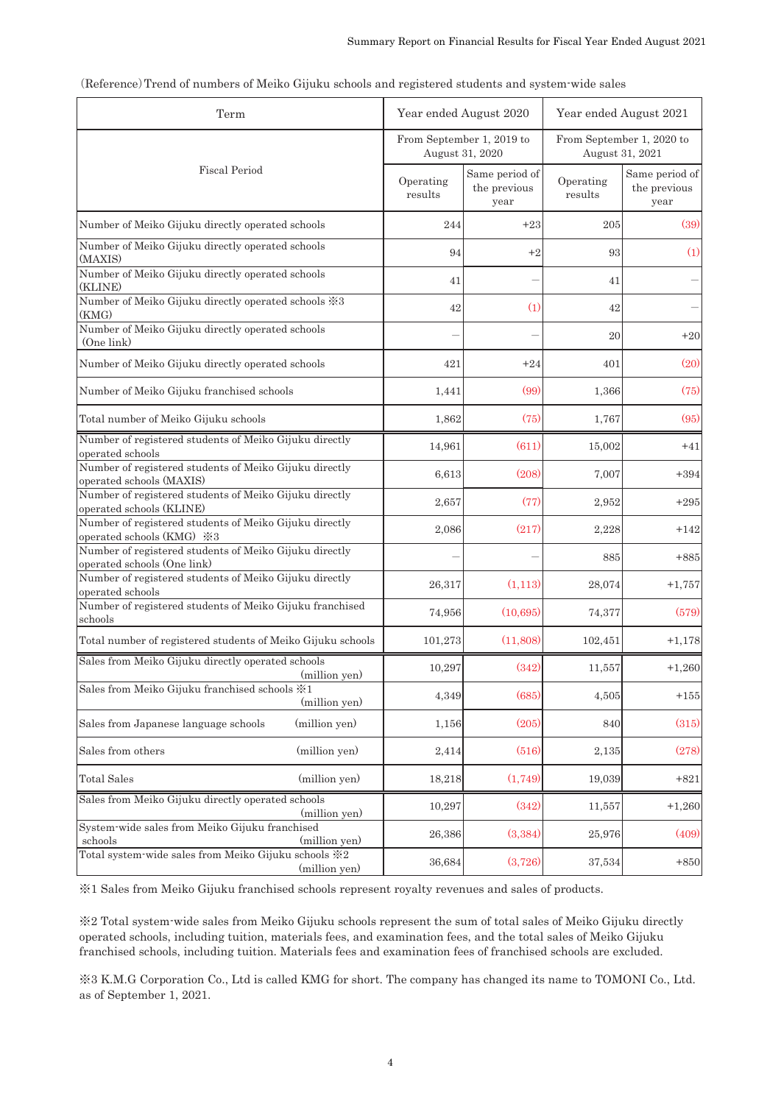| Term                                                                                  |                      | Year ended August 2020                 | Year ended August 2021 |                                              |  |
|---------------------------------------------------------------------------------------|----------------------|----------------------------------------|------------------------|----------------------------------------------|--|
|                                                                                       | August 31, 2020      | From September 1, 2019 to              |                        | From September 1, 2020 to<br>August 31, 2021 |  |
| <b>Fiscal Period</b>                                                                  | Operating<br>results | Same period of<br>the previous<br>year | Operating<br>results   | Same period of<br>the previous<br>year       |  |
| Number of Meiko Gijuku directly operated schools                                      | 244                  | $+23$                                  | 205                    | (39)                                         |  |
| Number of Meiko Gijuku directly operated schools<br>(MAXIS)                           | 94                   | $+2$                                   | 93                     | (1)                                          |  |
| Number of Meiko Gijuku directly operated schools<br>(KLINE)                           | 41                   |                                        | 41                     |                                              |  |
| Number of Meiko Gijuku directly operated schools ※3<br>(KMG)                          | 42                   | (1)                                    | 42                     |                                              |  |
| Number of Meiko Gijuku directly operated schools<br>(One link)                        |                      |                                        | 20                     | $+20$                                        |  |
| Number of Meiko Gijuku directly operated schools                                      | 421                  | $+24$                                  | 401                    | (20)                                         |  |
| Number of Meiko Gijuku franchised schools                                             | 1,441                | (99)                                   | 1,366                  | (75)                                         |  |
| Total number of Meiko Gijuku schools                                                  | 1,862                | (75)                                   | 1,767                  | (95)                                         |  |
| Number of registered students of Meiko Gijuku directly<br>operated schools            | 14,961               | (611)                                  | 15,002                 | $+41$                                        |  |
| Number of registered students of Meiko Gijuku directly<br>operated schools (MAXIS)    | 6,613                | (208)                                  | 7,007                  | $+394$                                       |  |
| Number of registered students of Meiko Gijuku directly<br>operated schools (KLINE)    | 2,657                | (77)                                   | 2,952                  | $+295$                                       |  |
| Number of registered students of Meiko Gijuku directly<br>operated schools (KMG) ※3   | 2,086                | (217)                                  | 2,228                  | $+142$                                       |  |
| Number of registered students of Meiko Gijuku directly<br>operated schools (One link) |                      |                                        | 885                    | $+885$                                       |  |
| Number of registered students of Meiko Gijuku directly<br>operated schools            | 26,317               | (1,113)                                | 28,074                 | $+1,757$                                     |  |
| Number of registered students of Meiko Gijuku franchised<br>schools                   | 74,956               | (10, 695)                              | 74,377                 | (579)                                        |  |
| Total number of registered students of Meiko Gijuku schools                           | 101,273              | (11,808)                               | 102,451                | $+1,178$                                     |  |
| Sales from Meiko Gijuku directly operated schools<br>(million yen)                    | 10,297               | (342)                                  | 11,557                 | $+1,260$                                     |  |
| Sales from Meiko Gijuku franchised schools *1<br>(million yen)                        | 4,349                | (685)                                  | 4,505                  | $+155$                                       |  |
| Sales from Japanese language schools<br>(million yen)                                 | 1,156                | (205)                                  | 840                    | (315)                                        |  |
| (million yen)<br>Sales from others                                                    | 2,414                | (516)                                  | 2,135                  | (278)                                        |  |
| <b>Total Sales</b><br>(million yen)                                                   | 18,218               | (1,749)                                | 19,039                 | $+821$                                       |  |
| Sales from Meiko Gijuku directly operated schools<br>(million yen)                    | 10,297               | (342)                                  | 11,557                 | $+1,260$                                     |  |
| System-wide sales from Meiko Gijuku franchised<br>(million yen)<br>schools            | 26.386               | (3,384)                                | 25,976                 | (409)                                        |  |
| Total system-wide sales from Meiko Gijuku schools *2<br>(million yen)                 | 36,684               | (3,726)                                | 37,534                 | $+850$                                       |  |

| (Reference) Trend of numbers of Meiko Gijuku schools and registered students and system wide sales |  |  |  |  |  |  |
|----------------------------------------------------------------------------------------------------|--|--|--|--|--|--|
|                                                                                                    |  |  |  |  |  |  |
|                                                                                                    |  |  |  |  |  |  |

䈜1 Sales from Meiko Gijuku franchised schools represent royalty revenues and sales of products.

䈜2 Total system-wide sales from Meiko Gijuku schools represent the sum of total sales of Meiko Gijuku directly operated schools, including tuition, materials fees, and examination fees, and the total sales of Meiko Gijuku franchised schools, including tuition. Materials fees and examination fees of franchised schools are excluded.

䈜3 K.M.G Corporation Co., Ltd is called KMG for short. The company has changed its name to TOMONI Co., Ltd. as of September 1, 2021.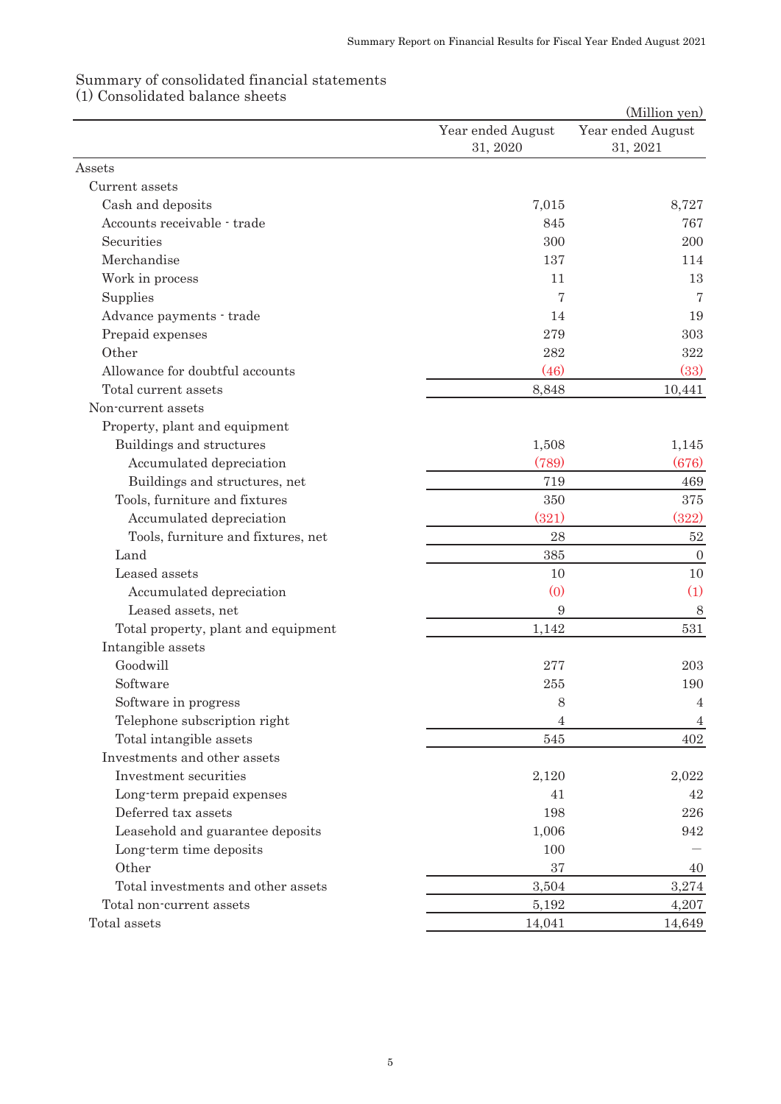## Summary of consolidated financial statements

(1) Consolidated balance sheets

|                                     |                   | (Million yen)     |
|-------------------------------------|-------------------|-------------------|
|                                     | Year ended August | Year ended August |
|                                     | 31, 2020          | 31, 2021          |
| Assets                              |                   |                   |
| Current assets                      |                   |                   |
| Cash and deposits                   | 7,015             | 8,727             |
| Accounts receivable - trade         | 845               | 767               |
| Securities                          | 300               | 200               |
| Merchandise                         | 137               | 114               |
| Work in process                     | 11                | 13                |
| Supplies                            | 7                 | 7                 |
| Advance payments · trade            | 14                | 19                |
| Prepaid expenses                    | 279               | 303               |
| Other                               | 282               | 322               |
| Allowance for doubtful accounts     | (46)              | (33)              |
| Total current assets                | 8,848             | 10,441            |
| Non-current assets                  |                   |                   |
| Property, plant and equipment       |                   |                   |
| Buildings and structures            | 1,508             | 1,145             |
| Accumulated depreciation            | (789)             | (676)             |
| Buildings and structures, net       | 719               | 469               |
| Tools, furniture and fixtures       | 350               | 375               |
| Accumulated depreciation            | (321)             | (322)             |
| Tools, furniture and fixtures, net  | 28                | $52\,$            |
| Land                                | 385               | $\boldsymbol{0}$  |
| Leased assets                       | 10                | 10                |
| Accumulated depreciation            | (0)               | (1)               |
| Leased assets, net                  | 9                 | 8                 |
| Total property, plant and equipment | 1,142             | 531               |
| Intangible assets                   |                   |                   |
| Goodwill                            | 277               | 203               |
| Software                            | 255               | 190               |
| Software in progress                | 8                 | $\overline{4}$    |
| Telephone subscription right        | 4                 | 4                 |
| Total intangible assets             | 545               | 402               |
| Investments and other assets        |                   |                   |
| Investment securities               | 2,120             | 2,022             |
| Long-term prepaid expenses          | 41                | 42                |
| Deferred tax assets                 | 198               | 226               |
| Leasehold and guarantee deposits    | 1,006             | 942               |
| Long-term time deposits             | 100               |                   |
| Other                               | 37                | 40                |
| Total investments and other assets  | 3,504             | 3,274             |
| Total non-current assets            | 5,192             | 4,207             |
| Total assets                        | 14,041            | 14,649            |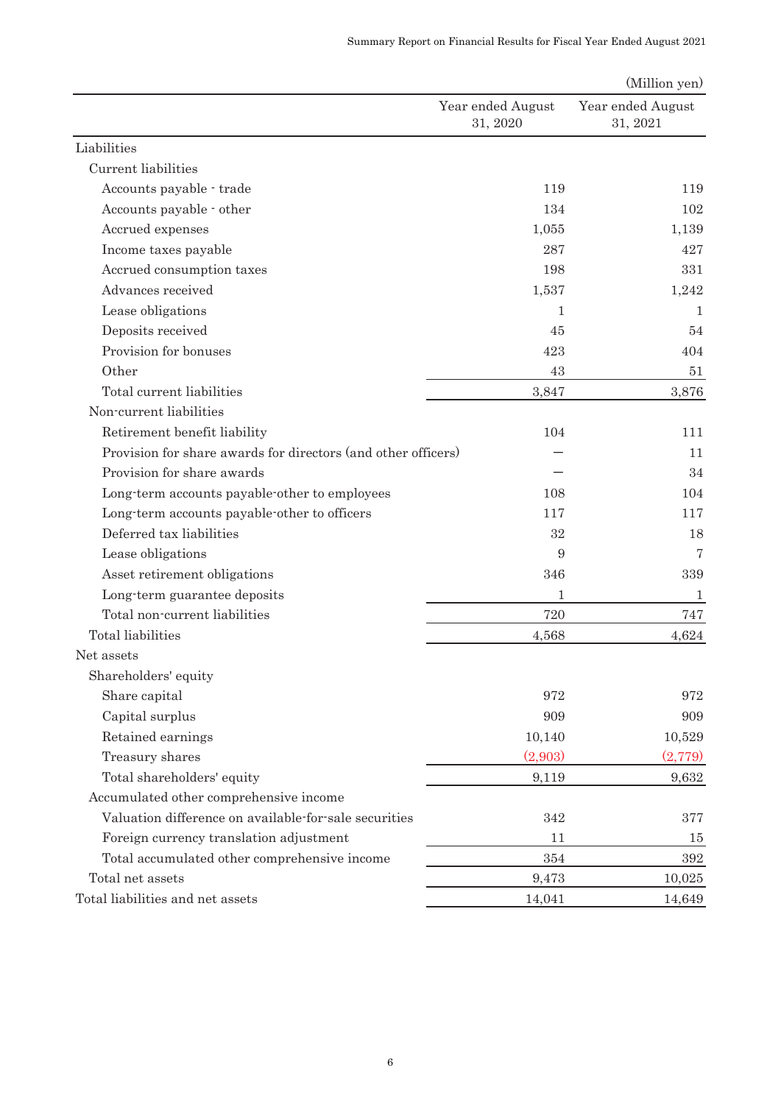|                                                               |                               | (Million yen)                 |
|---------------------------------------------------------------|-------------------------------|-------------------------------|
|                                                               | Year ended August<br>31, 2020 | Year ended August<br>31, 2021 |
| Liabilities                                                   |                               |                               |
| Current liabilities                                           |                               |                               |
| Accounts payable - trade                                      | 119                           | 119                           |
| Accounts payable · other                                      | 134                           | 102                           |
| Accrued expenses                                              | 1,055                         | 1,139                         |
| Income taxes payable                                          | 287                           | 427                           |
| Accrued consumption taxes                                     | 198                           | 331                           |
| Advances received                                             | 1,537                         | 1,242                         |
| Lease obligations                                             | 1                             | $\mathbf{1}$                  |
| Deposits received                                             | 45                            | 54                            |
| Provision for bonuses                                         | 423                           | 404                           |
| Other                                                         | 43                            | 51                            |
| Total current liabilities                                     | 3,847                         | 3,876                         |
| Non-current liabilities                                       |                               |                               |
| Retirement benefit liability                                  | 104                           | 111                           |
| Provision for share awards for directors (and other officers) |                               | 11                            |
| Provision for share awards                                    |                               | 34                            |
| Long-term accounts payable-other to employees                 | 108                           | 104                           |
| Long-term accounts payable-other to officers                  | 117                           | 117                           |
| Deferred tax liabilities                                      | 32                            | 18                            |
| Lease obligations                                             | 9                             | 7                             |
| Asset retirement obligations                                  | 346                           | 339                           |
| Long-term guarantee deposits                                  | 1                             | $\mathbf{1}$                  |
| Total non-current liabilities                                 | 720                           | 747                           |
| Total liabilities                                             | 4,568                         | 4,624                         |
| Net assets                                                    |                               |                               |
| Shareholders' equity                                          |                               |                               |
| Share capital                                                 | 972                           | 972                           |
| Capital surplus                                               | 909                           | 909                           |
| Retained earnings                                             | 10,140                        | 10,529                        |
| Treasury shares                                               | (2,903)                       | (2,779)                       |
| Total shareholders' equity                                    | 9,119                         | 9,632                         |
| Accumulated other comprehensive income                        |                               |                               |
| Valuation difference on available for sale securities         | 342                           | 377                           |
| Foreign currency translation adjustment                       | 11                            | 15                            |
| Total accumulated other comprehensive income                  | 354                           | 392                           |
| Total net assets                                              | 9,473                         | 10,025                        |
| Total liabilities and net assets                              | 14,041                        | 14,649                        |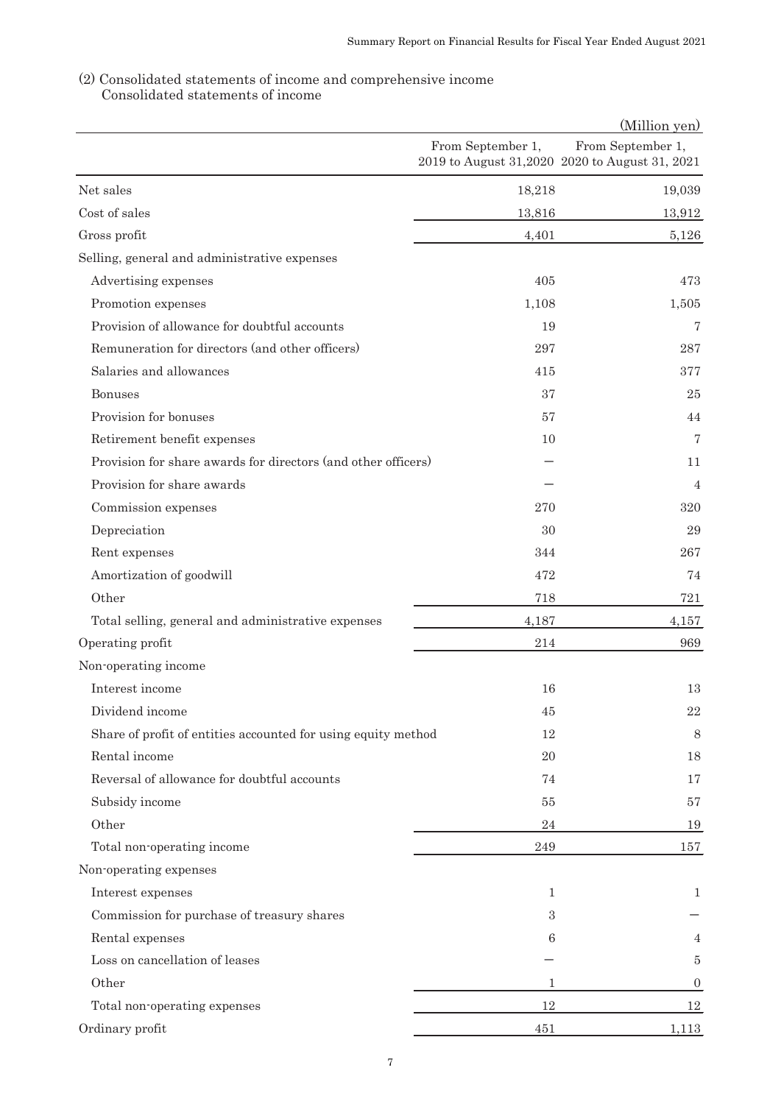# (2) Consolidated statements of income and comprehensive income

|                                                               |                   | (Million yen)                                                       |
|---------------------------------------------------------------|-------------------|---------------------------------------------------------------------|
|                                                               | From September 1, | From September 1,<br>2019 to August 31,2020 2020 to August 31, 2021 |
| Net sales                                                     | 18,218            | 19,039                                                              |
| Cost of sales                                                 | 13,816            | 13,912                                                              |
| Gross profit                                                  | 4,401             | 5,126                                                               |
| Selling, general and administrative expenses                  |                   |                                                                     |
| Advertising expenses                                          | 405               | 473                                                                 |
| Promotion expenses                                            | 1,108             | 1,505                                                               |
| Provision of allowance for doubtful accounts                  | 19                | 7                                                                   |
| Remuneration for directors (and other officers)               | 297               | 287                                                                 |
| Salaries and allowances                                       | 415               | 377                                                                 |
| Bonuses                                                       | 37                | 25                                                                  |
| Provision for bonuses                                         | 57                | 44                                                                  |
| Retirement benefit expenses                                   | 10                | $\overline{7}$                                                      |
| Provision for share awards for directors (and other officers) |                   | 11                                                                  |
| Provision for share awards                                    |                   | $\overline{4}$                                                      |
| Commission expenses                                           | 270               | 320                                                                 |
| Depreciation                                                  | 30                | 29                                                                  |
| Rent expenses                                                 | 344               | 267                                                                 |
| Amortization of goodwill                                      | 472               | 74                                                                  |
| Other                                                         | 718               | 721                                                                 |
| Total selling, general and administrative expenses            | 4,187             | 4,157                                                               |
| Operating profit                                              | 214               | 969                                                                 |
| Non-operating income                                          |                   |                                                                     |
| Interest income                                               | 16                | 13                                                                  |
| Dividend income                                               | 45                | $22\,$                                                              |
| Share of profit of entities accounted for using equity method | 12                | 8                                                                   |
| Rental income                                                 | 20                | 18                                                                  |
| Reversal of allowance for doubtful accounts                   | 74                | 17                                                                  |
| Subsidy income                                                | 55                | 57                                                                  |
| Other                                                         | 24                | 19                                                                  |
| Total non-operating income                                    | 249               | 157                                                                 |
| Non-operating expenses                                        |                   |                                                                     |
| Interest expenses                                             | 1                 | 1                                                                   |
| Commission for purchase of treasury shares                    | 3                 |                                                                     |
| Rental expenses                                               | 6                 | 4                                                                   |
| Loss on cancellation of leases                                |                   | $\bf 5$                                                             |
| Other                                                         | 1                 | $\boldsymbol{0}$                                                    |
| Total non-operating expenses                                  | 12                | 12                                                                  |
| Ordinary profit                                               | 451               | 1,113                                                               |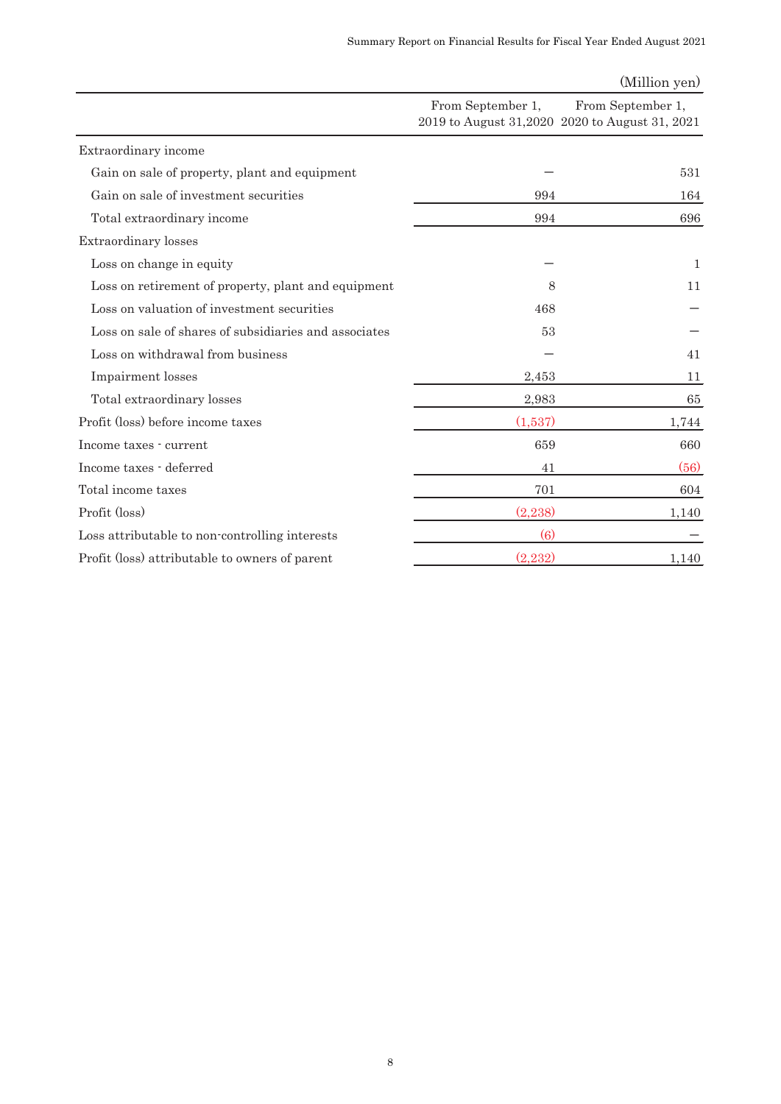| (Million yen) |  |
|---------------|--|
|---------------|--|

|                                                       | From September 1, | From September 1,<br>2019 to August 31,2020 2020 to August 31, 2021 |
|-------------------------------------------------------|-------------------|---------------------------------------------------------------------|
| Extraordinary income                                  |                   |                                                                     |
| Gain on sale of property, plant and equipment         |                   | 531                                                                 |
| Gain on sale of investment securities                 | 994               | 164                                                                 |
| Total extraordinary income                            | 994               | 696                                                                 |
| Extraordinary losses                                  |                   |                                                                     |
| Loss on change in equity                              |                   | 1                                                                   |
| Loss on retirement of property, plant and equipment   | 8                 | 11                                                                  |
| Loss on valuation of investment securities            | 468               |                                                                     |
| Loss on sale of shares of subsidiaries and associates | 53                |                                                                     |
| Loss on withdrawal from business                      |                   | 41                                                                  |
| Impairment losses                                     | 2,453             | 11                                                                  |
| Total extraordinary losses                            | 2,983             | 65                                                                  |
| Profit (loss) before income taxes                     | (1,537)           | 1,744                                                               |
| Income taxes - current                                | 659               | 660                                                                 |
| Income taxes - deferred                               | 41                | (56)                                                                |
| Total income taxes                                    | 701               | 604                                                                 |
| Profit (loss)                                         | (2,238)           | 1,140                                                               |
| Loss attributable to non-controlling interests        | $\left(6\right)$  |                                                                     |
| Profit (loss) attributable to owners of parent        | (2,232)           | 1,140                                                               |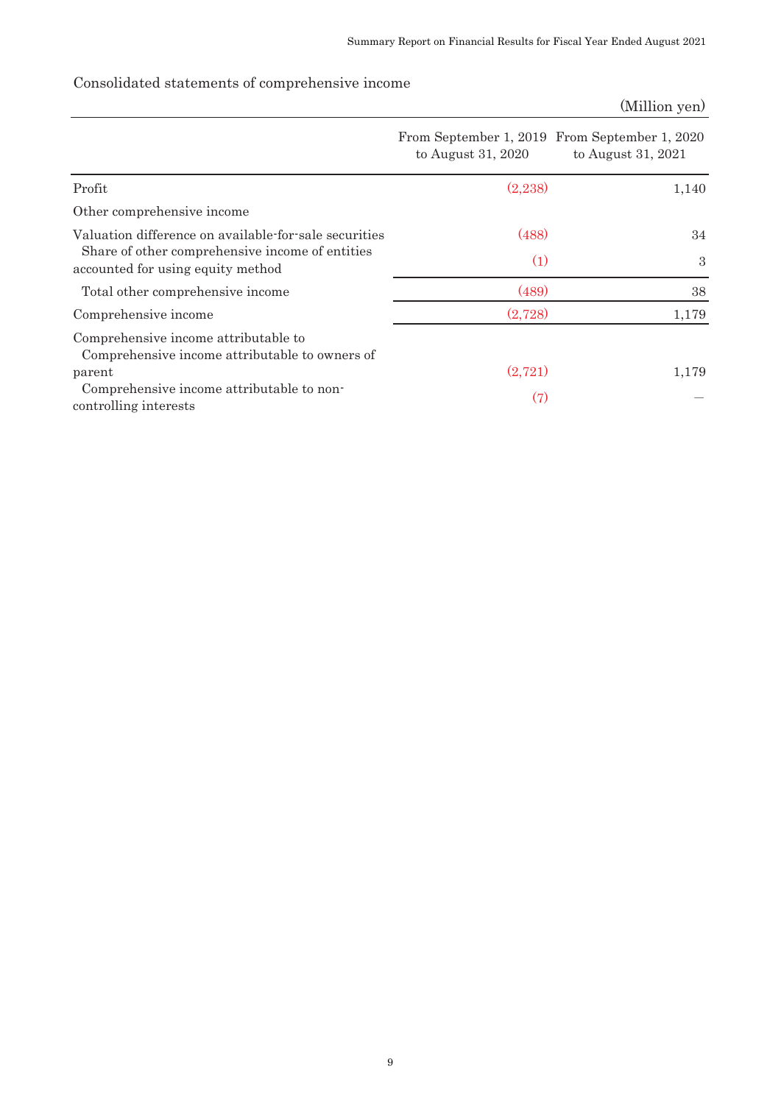## Consolidated statements of comprehensive income

# (Million yen) Profit  $(2,238)$  1,140 Other comprehensive income Valuation difference on available-for-sale securities (488) (488) 34 Share of other comprehensive income of entities accounted for using equity method (1) 3 Total other comprehensive income (489) 38 Comprehensive income  $(2,728)$  1,179 Comprehensive income attributable to Comprehensive income attributable to owners of  $p$ arent  $(2,721)$  1,179 Comprehensive income attributable to noncomprehensive income attributable to non (7)  $(7)$ From September 1, 2019 From September 1, 2020 to August 31, 2020 to August 31, 2021

9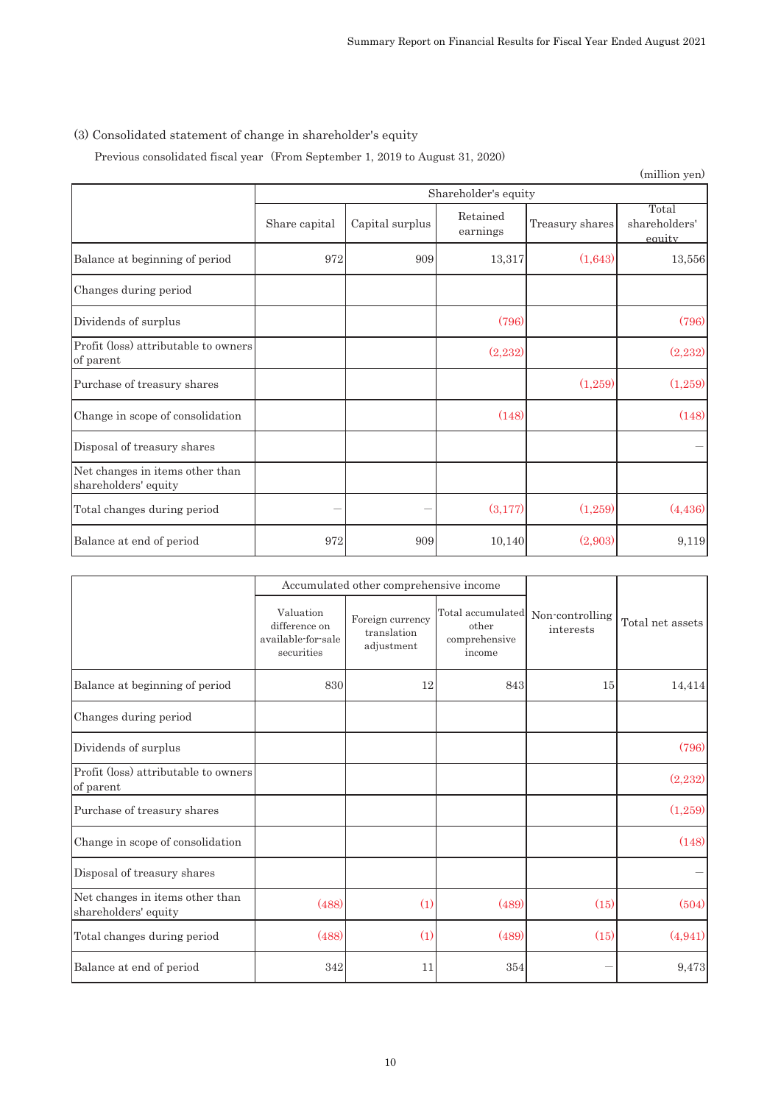# (3) Consolidated statement of change in shareholder's equity

Previous consolidated fiscal year (From September 1, 2019 to August 31, 2020)

|                                                         |               |                      |                      |                 | (million yen)                    |  |  |
|---------------------------------------------------------|---------------|----------------------|----------------------|-----------------|----------------------------------|--|--|
|                                                         |               | Shareholder's equity |                      |                 |                                  |  |  |
|                                                         | Share capital | Capital surplus      | Retained<br>earnings | Treasury shares | Total<br>shareholders'<br>equity |  |  |
| Balance at beginning of period                          | 972           | 909                  | 13,317               | (1,643)         | 13,556                           |  |  |
| Changes during period                                   |               |                      |                      |                 |                                  |  |  |
| Dividends of surplus                                    |               |                      | (796)                |                 | (796)                            |  |  |
| Profit (loss) attributable to owners<br>of parent       |               |                      | (2,232)              |                 | (2,232)                          |  |  |
| Purchase of treasury shares                             |               |                      |                      | (1,259)         | (1,259)                          |  |  |
| Change in scope of consolidation                        |               |                      | (148)                |                 | (148)                            |  |  |
| Disposal of treasury shares                             |               |                      |                      |                 |                                  |  |  |
| Net changes in items other than<br>shareholders' equity |               |                      |                      |                 |                                  |  |  |
| Total changes during period                             |               |                      | (3,177)              | (1,259)         | (4, 436)                         |  |  |
| Balance at end of period                                | 972           | 909                  | 10,140               | (2,903)         | 9,119                            |  |  |

|                                                         |                                                                | Accumulated other comprehensive income        |                                                       |                              |                  |
|---------------------------------------------------------|----------------------------------------------------------------|-----------------------------------------------|-------------------------------------------------------|------------------------------|------------------|
|                                                         | Valuation<br>difference on<br>available-for-sale<br>securities | Foreign currency<br>translation<br>adjustment | Total accumulated<br>other<br>comprehensive<br>income | Non-controlling<br>interests | Total net assets |
| Balance at beginning of period                          | 830                                                            | 12                                            | 843                                                   | 15                           | 14,414           |
| Changes during period                                   |                                                                |                                               |                                                       |                              |                  |
| Dividends of surplus                                    |                                                                |                                               |                                                       |                              | (796)            |
| Profit (loss) attributable to owners<br>of parent       |                                                                |                                               |                                                       |                              | (2,232)          |
| Purchase of treasury shares                             |                                                                |                                               |                                                       |                              | (1,259)          |
| Change in scope of consolidation                        |                                                                |                                               |                                                       |                              | (148)            |
| Disposal of treasury shares                             |                                                                |                                               |                                                       |                              |                  |
| Net changes in items other than<br>shareholders' equity | (488)                                                          | (1)                                           | (489)                                                 | (15)                         | (504)            |
| Total changes during period                             | (488)                                                          | (1)                                           | (489)                                                 | (15)                         | (4, 941)         |
| Balance at end of period                                | 342                                                            | 11                                            | 354                                                   |                              | 9,473            |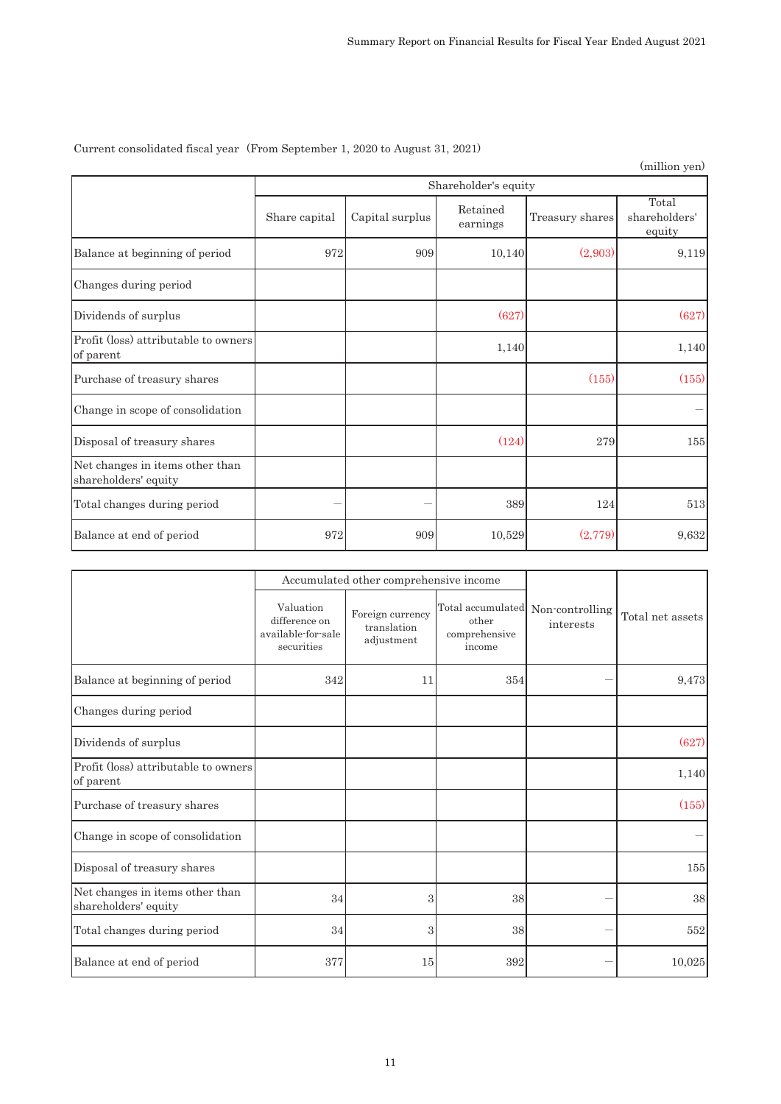Current consolidated fiscal year (From September 1, 2020 to August 31, 2021)

|                                                         |               |                      |                      |                 | (million yen)                    |  |  |
|---------------------------------------------------------|---------------|----------------------|----------------------|-----------------|----------------------------------|--|--|
|                                                         |               | Shareholder's equity |                      |                 |                                  |  |  |
|                                                         | Share capital | Capital surplus      | Retained<br>earnings | Treasury shares | Total<br>shareholders'<br>equity |  |  |
| Balance at beginning of period                          | 972           | 909                  | 10,140               | (2,903)         | 9,119                            |  |  |
| Changes during period                                   |               |                      |                      |                 |                                  |  |  |
| Dividends of surplus                                    |               |                      | (627)                |                 | (627)                            |  |  |
| Profit (loss) attributable to owners<br>of parent       |               |                      | 1,140                |                 | 1,140                            |  |  |
| Purchase of treasury shares                             |               |                      |                      | (155)           | (155)                            |  |  |
| Change in scope of consolidation                        |               |                      |                      |                 |                                  |  |  |
| Disposal of treasury shares                             |               |                      | (124)                | 279             | 155                              |  |  |
| Net changes in items other than<br>shareholders' equity |               |                      |                      |                 |                                  |  |  |
| Total changes during period                             |               |                      | 389                  | 124             | 513                              |  |  |
| Balance at end of period                                | 972           | 909                  | 10,529               | (2,779)         | 9,632                            |  |  |

|                                                         |                                                                | Accumulated other comprehensive income        |                                                                       |           |                  |
|---------------------------------------------------------|----------------------------------------------------------------|-----------------------------------------------|-----------------------------------------------------------------------|-----------|------------------|
|                                                         | Valuation<br>difference on<br>available-for-sale<br>securities | Foreign currency<br>translation<br>adjustment | Total accumulated Non-controlling<br>other<br>comprehensive<br>income | interests | Total net assets |
| Balance at beginning of period                          | 342                                                            | 11                                            | 354                                                                   |           | 9,473            |
| Changes during period                                   |                                                                |                                               |                                                                       |           |                  |
| Dividends of surplus                                    |                                                                |                                               |                                                                       |           | (627)            |
| Profit (loss) attributable to owners<br>of parent       |                                                                |                                               |                                                                       |           | 1,140            |
| Purchase of treasury shares                             |                                                                |                                               |                                                                       |           | (155)            |
| Change in scope of consolidation                        |                                                                |                                               |                                                                       |           |                  |
| Disposal of treasury shares                             |                                                                |                                               |                                                                       |           | 155              |
| Net changes in items other than<br>shareholders' equity | 34                                                             | 3                                             | 38                                                                    |           | $38\,$           |
| Total changes during period                             | $34\,$                                                         | 3                                             | 38                                                                    |           | 552              |
| Balance at end of period                                | 377                                                            | 15                                            | 392                                                                   |           | 10,025           |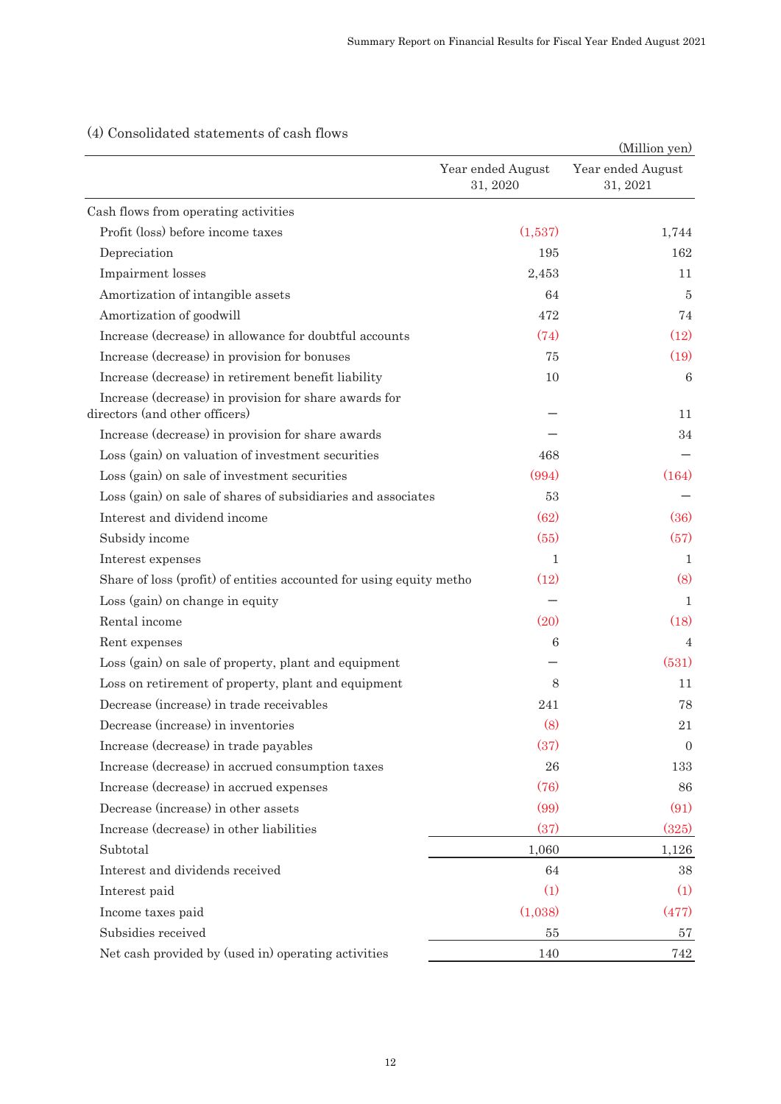|                                                                                         |                               | (Million yen)                 |
|-----------------------------------------------------------------------------------------|-------------------------------|-------------------------------|
|                                                                                         | Year ended August<br>31, 2020 | Year ended August<br>31, 2021 |
| Cash flows from operating activities                                                    |                               |                               |
| Profit (loss) before income taxes                                                       | (1,537)                       | 1,744                         |
| Depreciation                                                                            | 195                           | 162                           |
| Impairment losses                                                                       | 2,453                         | 11                            |
| Amortization of intangible assets                                                       | 64                            | $\overline{5}$                |
| Amortization of goodwill                                                                | 472                           | 74                            |
| Increase (decrease) in allowance for doubtful accounts                                  | (74)                          | (12)                          |
| Increase (decrease) in provision for bonuses                                            | 75                            | (19)                          |
| Increase (decrease) in retirement benefit liability                                     | 10                            | 6                             |
| Increase (decrease) in provision for share awards for<br>directors (and other officers) |                               | 11                            |
| Increase (decrease) in provision for share awards                                       |                               | 34                            |
| Loss (gain) on valuation of investment securities                                       | 468                           |                               |
| Loss (gain) on sale of investment securities                                            | (994)                         | (164)                         |
| Loss (gain) on sale of shares of subsidiaries and associates                            | 53                            |                               |
| Interest and dividend income                                                            | (62)                          | (36)                          |
| Subsidy income                                                                          | (55)                          | (57)                          |
| Interest expenses                                                                       | 1                             | $\mathbf{1}$                  |
| Share of loss (profit) of entities accounted for using equity metho                     | (12)                          | (8)                           |
| Loss (gain) on change in equity                                                         |                               | $\mathbf{1}$                  |
| Rental income                                                                           | (20)                          | (18)                          |
| Rent expenses                                                                           | 6                             | 4                             |
| Loss (gain) on sale of property, plant and equipment                                    |                               | (531)                         |
| Loss on retirement of property, plant and equipment                                     | 8                             | 11                            |
| Decrease (increase) in trade receivables                                                | 241                           | 78                            |
| Decrease (increase) in inventories                                                      | (8)                           | 21                            |
| Increase (decrease) in trade payables                                                   | (37)                          | $\overline{0}$                |
| Increase (decrease) in accrued consumption taxes                                        | 26                            | 133                           |
| Increase (decrease) in accrued expenses                                                 | (76)                          | 86                            |
| Decrease (increase) in other assets                                                     | (99)                          | (91)                          |
| Increase (decrease) in other liabilities                                                | (37)                          | (325)                         |
| Subtotal                                                                                | 1,060                         | 1,126                         |
| Interest and dividends received                                                         | 64                            | 38                            |
| Interest paid                                                                           | (1)                           | (1)                           |
| Income taxes paid                                                                       | (1,038)                       | (477)                         |
| Subsidies received                                                                      | 55                            | 57                            |
| Net cash provided by (used in) operating activities                                     | 140                           | 742                           |

# (4) Consolidated statements of cash flows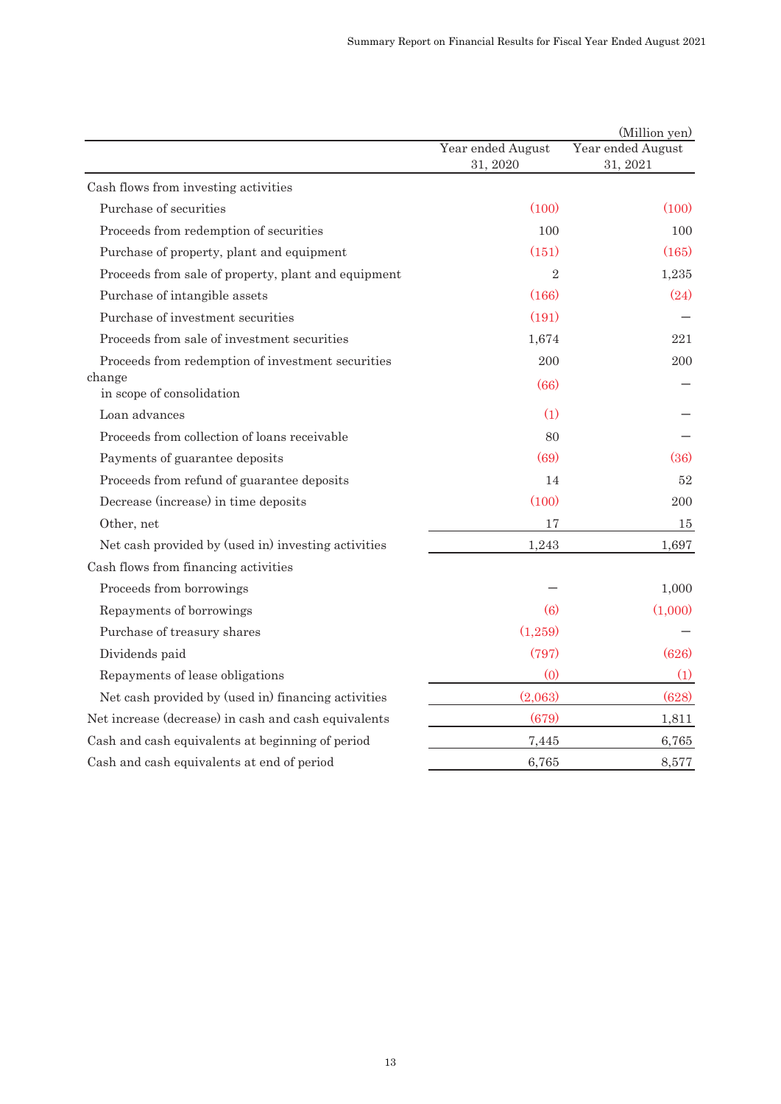|                                                      |                               | (Million yen)                 |
|------------------------------------------------------|-------------------------------|-------------------------------|
|                                                      | Year ended August<br>31, 2020 | Year ended August<br>31, 2021 |
| Cash flows from investing activities                 |                               |                               |
| Purchase of securities                               | (100)                         | (100)                         |
| Proceeds from redemption of securities               | 100                           | 100                           |
| Purchase of property, plant and equipment            | (151)                         | (165)                         |
| Proceeds from sale of property, plant and equipment  | $\overline{2}$                | 1,235                         |
| Purchase of intangible assets                        | (166)                         | (24)                          |
| Purchase of investment securities                    | (191)                         |                               |
| Proceeds from sale of investment securities          | 1,674                         | 221                           |
| Proceeds from redemption of investment securities    | 200                           | 200                           |
| change<br>in scope of consolidation                  | (66)                          |                               |
| Loan advances                                        | (1)                           |                               |
| Proceeds from collection of loans receivable         | 80                            |                               |
| Payments of guarantee deposits                       | (69)                          | (36)                          |
| Proceeds from refund of guarantee deposits           | 14                            | 52                            |
| Decrease (increase) in time deposits                 | (100)                         | 200                           |
| Other, net                                           | 17                            | 15                            |
| Net cash provided by (used in) investing activities  | 1,243                         | 1,697                         |
| Cash flows from financing activities                 |                               |                               |
| Proceeds from borrowings                             |                               | 1,000                         |
| Repayments of borrowings                             | (6)                           | (1,000)                       |
| Purchase of treasury shares                          | (1,259)                       |                               |
| Dividends paid                                       | (797)                         | (626)                         |
| Repayments of lease obligations                      | (0)                           | (1)                           |
| Net cash provided by (used in) financing activities  | (2,063)                       | (628)                         |
| Net increase (decrease) in cash and cash equivalents | (679)                         | 1,811                         |
| Cash and cash equivalents at beginning of period     | 7,445                         | 6,765                         |
| Cash and cash equivalents at end of period           | 6,765                         | 8,577                         |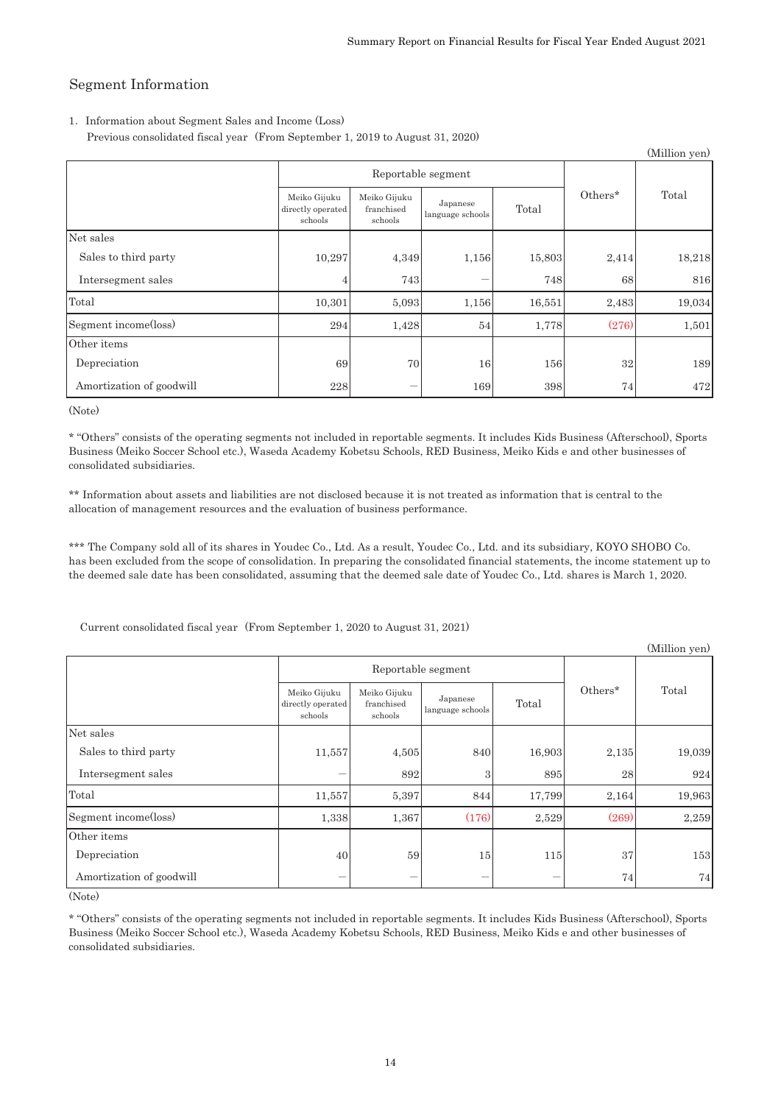$(\mathbf{M}^{\text{H}})\mathbf{H}^{\text{H}}$ 

## Segment Information

#### 1. Information about Segment Sales and Income (Loss)

Previous consolidated fiscal year (From September 1, 2019 to August 31, 2020)

|                          |                                              |                                       |                              |        |         | (Million yen) |
|--------------------------|----------------------------------------------|---------------------------------------|------------------------------|--------|---------|---------------|
|                          |                                              | Reportable segment                    |                              |        |         |               |
|                          | Meiko Gijuku<br>directly operated<br>schools | Meiko Gijuku<br>franchised<br>schools | Japanese<br>language schools | Total  | Others* | Total         |
| Net sales                |                                              |                                       |                              |        |         |               |
| Sales to third party     | 10,297                                       | 4,349                                 | 1,156                        | 15,803 | 2,414   | 18,218        |
| Intersegment sales       |                                              | 743                                   |                              | 748    | 68      | 816           |
| Total                    | 10,301                                       | 5,093                                 | 1,156                        | 16,551 | 2,483   | 19,034        |
| Segment income(loss)     | 294                                          | 1,428                                 | 54                           | 1,778  | (276)   | 1,501         |
| Other items              |                                              |                                       |                              |        |         |               |
| Depreciation             | 69                                           | 70                                    | 16                           | 156    | 32      | 189           |
| Amortization of goodwill | 228                                          |                                       | 169                          | 398    | 74      | 472           |

(Note)

\* "Others" consists of the operating segments not included in reportable segments. It includes Kids Business (Afterschool), Sports Business (Meiko Soccer School etc.), Waseda Academy Kobetsu Schools, RED Business, Meiko Kids e and other businesses of consolidated subsidiaries.

\*\* Information about assets and liabilities are not disclosed because it is not treated as information that is central to the allocation of management resources and the evaluation of business performance.

\*\*\* The Company sold all of its shares in Youdec Co., Ltd. As a result, Youdec Co., Ltd. and its subsidiary, KOYO SHOBO Co. has been excluded from the scope of consolidation. In preparing the consolidated financial statements, the income statement up to the deemed sale date has been consolidated, assuming that the deemed sale date of Youdec Co., Ltd. shares is March 1, 2020.

Current consolidated fiscal year (From September 1, 2020 to August 31, 2021)

|                          |                                              |                                       |                              |        |         | <i>(willhon yen)</i> |
|--------------------------|----------------------------------------------|---------------------------------------|------------------------------|--------|---------|----------------------|
|                          | Reportable segment                           |                                       |                              |        |         |                      |
|                          | Meiko Gijuku<br>directly operated<br>schools | Meiko Gijuku<br>franchised<br>schools | Japanese<br>language schools | Total  | Others* | Total                |
| Net sales                |                                              |                                       |                              |        |         |                      |
| Sales to third party     | 11,557                                       | 4,505                                 | 840                          | 16,903 | 2,135   | 19,039               |
| Intersegment sales       |                                              | 892                                   | 3                            | 895    | 28      | 924                  |
| Total                    | 11,557                                       | 5,397                                 | 844                          | 17,799 | 2,164   | 19,963               |
| Segment income(loss)     | 1,338                                        | 1,367                                 | (176)                        | 2,529  | (269)   | 2,259                |
| Other items              |                                              |                                       |                              |        |         |                      |
| Depreciation             | 40                                           | 59                                    | 15                           | 115    | 37      | 153                  |
| Amortization of goodwill |                                              |                                       |                              |        | 74      | 74                   |

(Note)

\* "Others" consists of the operating segments not included in reportable segments. It includes Kids Business (Afterschool), Sports Business (Meiko Soccer School etc.), Waseda Academy Kobetsu Schools, RED Business, Meiko Kids e and other businesses of consolidated subsidiaries.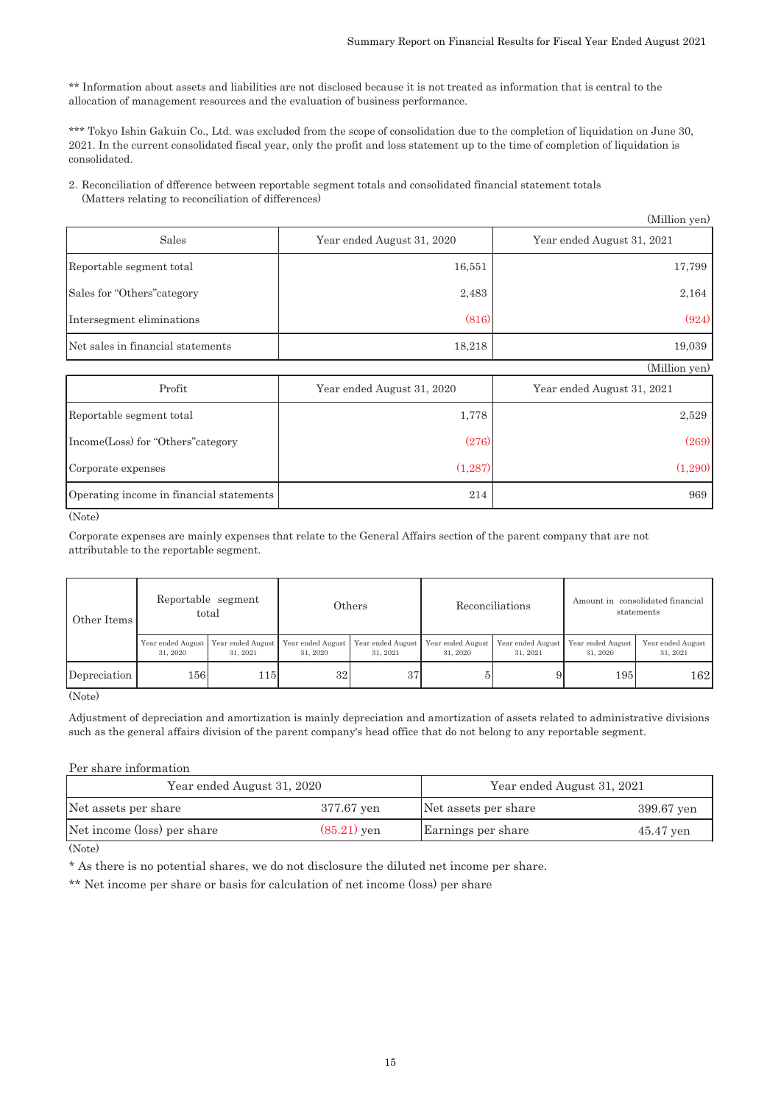\*\* Information about assets and liabilities are not disclosed because it is not treated as information that is central to the allocation of management resources and the evaluation of business performance.

\*\*\* Tokyo Ishin Gakuin Co., Ltd. was excluded from the scope of consolidation due to the completion of liquidation on June 30, 2021. In the current consolidated fiscal year, only the profit and loss statement up to the time of completion of liquidation is consolidated.

2䠊Reconciliation of dfference between reportable segment totals and consolidated financial statement totals (Matters relating to reconciliation of differences)

|                                   |                            | (Million yen)              |
|-----------------------------------|----------------------------|----------------------------|
| Sales                             | Year ended August 31, 2020 | Year ended August 31, 2021 |
| Reportable segment total          | 16,551                     | 17,799                     |
| Sales for "Others" category       | 2,483                      | 2,164                      |
| Intersegment eliminations         | (816)                      | (924)                      |
| Net sales in financial statements | 18,218                     | 19,039                     |
|                                   |                            | (Million yen)              |
| Profit                            | Year ended August 31, 2020 | Year ended August 31, 2021 |

| Profit                                   | Year ended August 31, 2020 | Year ended August 31, 2021 |
|------------------------------------------|----------------------------|----------------------------|
| Reportable segment total                 | 1,778                      | 2,529                      |
| Income (Loss) for "Others" category      | (276)                      | (269)                      |
| Corporate expenses                       | (1, 287)                   | (1.290)                    |
| Operating income in financial statements | 214                        | 969                        |

(Note)

Corporate expenses are mainly expenses that relate to the General Affairs section of the parent company that are not attributable to the reportable segment.

| Other Items  |                               | Reportable segment<br>total   |                               | $\rm{Others}$                 | Reconciliations               |                               | Amount in consolidated financial<br>statements |                               |
|--------------|-------------------------------|-------------------------------|-------------------------------|-------------------------------|-------------------------------|-------------------------------|------------------------------------------------|-------------------------------|
|              | Year ended August<br>31, 2020 | Year ended August<br>31, 2021 | Year ended August<br>31, 2020 | Year ended August<br>31, 2021 | Year ended August<br>31, 2020 | Year ended August<br>31, 2021 | Year ended August<br>31, 2020                  | Year ended August<br>31, 2021 |
| Depreciation | 156I                          | 1151                          | 32                            | 37                            |                               |                               | 195                                            | 162l                          |

(Note)

Adjustment of depreciation and amortization is mainly depreciation and amortization of assets related to administrative divisions such as the general affairs division of the parent company's head office that do not belong to any reportable segment.

Per share information

| Year ended August 31, 2020  | Year ended August 31, 2021 |                      |             |
|-----------------------------|----------------------------|----------------------|-------------|
| Net assets per share        | 377.67 yen                 | Net assets per share | 399.67 yen  |
| Net income (loss) per share | $(85.21)$ yen              | Earnings per share   | $45.47$ yen |

(Note)

\* As there is no potential shares, we do not disclosure the diluted net income per share.

\*\* Net income per share or basis for calculation of net income (loss) per share